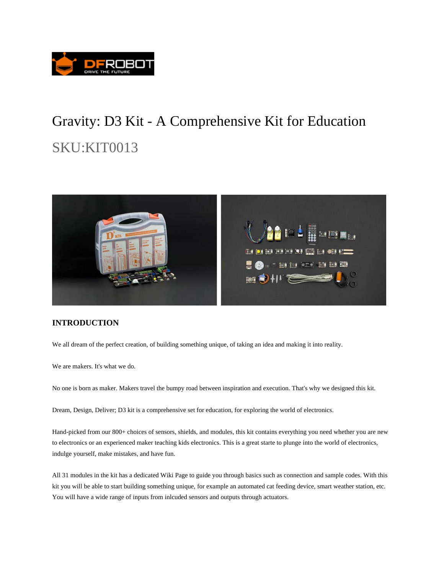

# Gravity: D3 Kit - A Comprehensive Kit for Education SKU:KIT0013



### **INTRODUCTION**

We all dream of the perfect creation, of building something unique, of taking an idea and making it into reality.

We are makers. It's what we do.

No one is born as maker. Makers travel the bumpy road between inspiration and execution. That's why we designed this kit.

Dream, Design, Deliver; D3 kit is a comprehensive set for education, for exploring the world of electronics.

Hand-picked from our 800+ choices of sensors, shields, and modules, this kit contains everything you need whether you are new to electronics or an experienced maker teaching kids electronics. This is a great starte to plunge into the world of electronics, indulge yourself, make mistakes, and have fun.

All 31 modules in the kit has a dedicated Wiki Page to guide you through basics such as connection and sample codes. With this kit you will be able to start building something unique, for example an automated cat feeding device, smart weather station, etc. You will have a wide range of inputs from inlcuded sensors and outputs through actuators.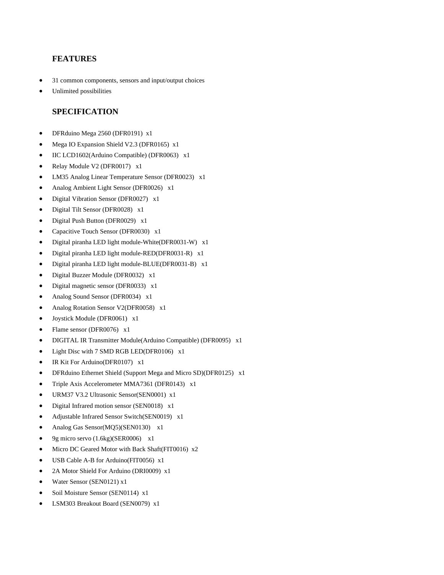#### **FEATURES**

- 31 common components, sensors and input/output choices
- Unlimited possibilities

#### **SPECIFICATION**

- DFRduino Mega 2560 (DFR0191) x1
- Mega IO Expansion Shield V2.3 (DFR0165) x1
- IIC LCD1602(Arduino Compatible) (DFR0063) x1
- Relay Module V2 (DFR0017) x1
- LM35 Analog Linear Temperature Sensor (DFR0023) x1
- Analog Ambient Light Sensor (DFR0026) x1
- Digital Vibration Sensor (DFR0027) x1
- Digital Tilt Sensor (DFR0028) x1
- Digital Push Button (DFR0029) x1
- Capacitive Touch Sensor (DFR0030) x1
- Digital piranha LED light module-White(DFR0031-W) x1
- Digital piranha LED light module-RED(DFR0031-R) x1
- Digital piranha LED light module-BLUE(DFR0031-B) x1
- Digital Buzzer Module (DFR0032) x1
- Digital magnetic sensor (DFR0033) x1
- Analog Sound Sensor (DFR0034) x1
- Analog Rotation Sensor V2(DFR0058) x1
- Joystick Module (DFR0061) x1
- Flame sensor (DFR0076) x1
- DIGITAL IR Transmitter Module(Arduino Compatible) (DFR0095) x1
- Light Disc with 7 SMD RGB LED(DFR0106) x1
- IR Kit For Arduino(DFR0107) x1
- DFRduino Ethernet Shield (Support Mega and Micro SD)(DFR0125) x1
- Triple Axis Accelerometer MMA7361 (DFR0143) x1
- URM37 V3.2 Ultrasonic Sensor(SEN0001) x1
- Digital Infrared motion sensor (SEN0018) x1
- Adjustable Infrared Sensor Switch(SEN0019) x1
- Analog Gas Sensor(MQ5)(SEN0130) x1
- 9g micro servo (1.6kg)(SER0006) x1
- Micro DC Geared Motor with Back Shaft(FIT0016) x2
- USB Cable A-B for Arduino(FIT0056) x1
- 2A Motor Shield For Arduino (DRI0009) x1
- Water Sensor (SEN0121) x1
- Soil Moisture Sensor (SEN0114) x1
- LSM303 Breakout Board (SEN0079) x1